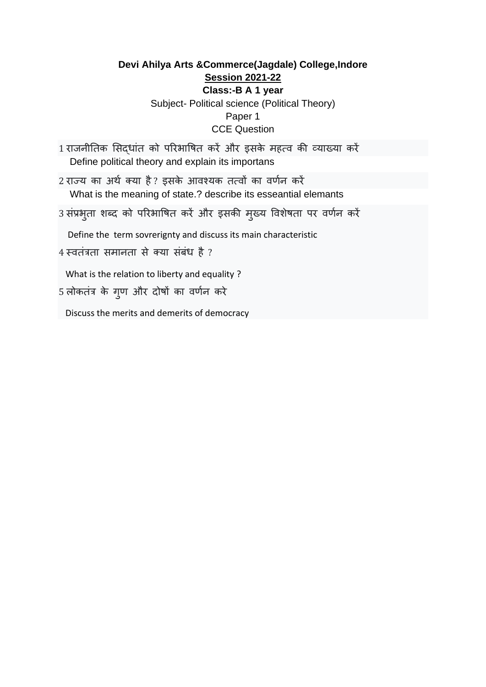# **Devi Ahilya Arts &Commerce(Jagdale) College,Indore Session 2021-22 Class:-B A 1 year**  Subject- Political science (Political Theory) Paper 1 CCE Question

- 1 राजनीतिक सिदधांत को परिभाषित करें और इसके महत्व की व्याख्या करें Define political theory and explain its importans
- 2 राज्य का अर्थ क्या है? इसके आवश्यक तत्वों का वर्णन करें What is the meaning of state.? describe its esseantial elemants
- 3 संप्रभुता शब्द को परिभाषित करें और इसकी मुख्य विशेषता पर वर्णन करें

Define the term sovrerignty and discuss its main characteristic

4 स्वतंत्रता समानता से क्या संबंध है ?

What is the relation to liberty and equality ?

5 लोकतंत्र के गुण और दोषों का वर्णन करे

Discuss the merits and demerits of democracy